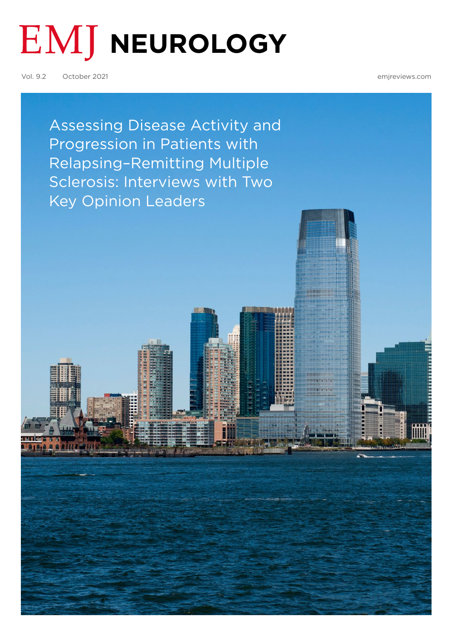

Vol. 9.2 October 2021 [emjreviews.com](https://www.emjreviews.com)

[Assessing Disease Activity and](#page-1-0)  Progression in Patients with Relapsing–Remitting Multiple Sclerosis: Interviews with Two Key Opinion Leaders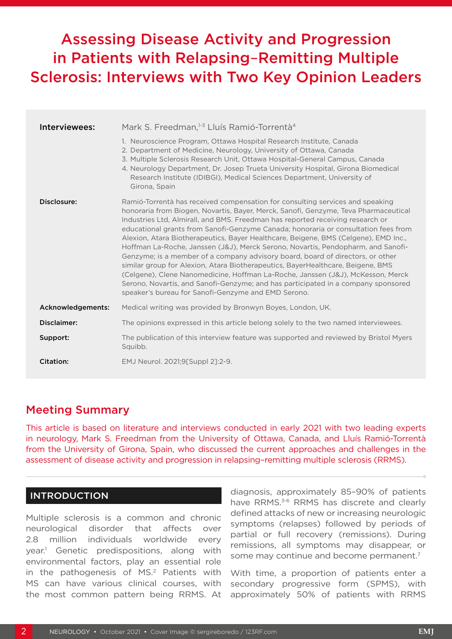# <span id="page-1-0"></span>Assessing Disease Activity and Progression in Patients with Relapsing–Remitting Multiple Sclerosis: Interviews with Two Key Opinion Leaders

| Interviewees:     | Mark S. Freedman, <sup>1-3</sup> Lluís Ramió-Torrentà <sup>4</sup><br>1. Neuroscience Program, Ottawa Hospital Research Institute, Canada<br>2. Department of Medicine, Neurology, University of Ottawa, Canada<br>3. Multiple Sclerosis Research Unit, Ottawa Hospital-General Campus, Canada<br>4. Neurology Department, Dr. Josep Trueta University Hospital, Girona Biomedical<br>Research Institute (IDIBGI), Medical Sciences Department, University of<br>Girona, Spain                                                                                                                                                                                                                                                                                                                                                                                                                                              |
|-------------------|-----------------------------------------------------------------------------------------------------------------------------------------------------------------------------------------------------------------------------------------------------------------------------------------------------------------------------------------------------------------------------------------------------------------------------------------------------------------------------------------------------------------------------------------------------------------------------------------------------------------------------------------------------------------------------------------------------------------------------------------------------------------------------------------------------------------------------------------------------------------------------------------------------------------------------|
| Disclosure:       | Ramió-Torrentà has received compensation for consulting services and speaking<br>honoraria from Biogen, Novartis, Bayer, Merck, Sanofi, Genzyme, Teva Pharmaceutical<br>Industries Ltd, Almirall, and BMS. Freedman has reported receiving research or<br>educational grants from Sanofi-Genzyme Canada; honoraria or consultation fees from<br>Alexion, Atara Biotherapeutics, Bayer Healthcare, Beigene, BMS (Celgene), EMD Inc.,<br>Hoffman La-Roche, Janssen (J&J), Merck Serono, Novartis, Pendopharm, and Sanofi-<br>Genzyme; is a member of a company advisory board, board of directors, or other<br>similar group for Alexion, Atara Biotherapeutics, BayerHealthcare, Beigene, BMS<br>(Celgene), Clene Nanomedicine, Hoffman La-Roche, Janssen (J&J), McKesson, Merck<br>Serono, Novartis, and Sanofi-Genzyme; and has participated in a company sponsored<br>speaker's bureau for Sanofi-Genzyme and EMD Serono. |
| Acknowledgements: | Medical writing was provided by Bronwyn Boyes, London, UK.                                                                                                                                                                                                                                                                                                                                                                                                                                                                                                                                                                                                                                                                                                                                                                                                                                                                  |
| Disclaimer:       | The opinions expressed in this article belong solely to the two named interviewees.                                                                                                                                                                                                                                                                                                                                                                                                                                                                                                                                                                                                                                                                                                                                                                                                                                         |
| Support:          | The publication of this interview feature was supported and reviewed by Bristol Myers<br>Squibb.                                                                                                                                                                                                                                                                                                                                                                                                                                                                                                                                                                                                                                                                                                                                                                                                                            |
| Citation:         | EMJ Neurol. 2021;9[Suppl 2]:2-9.                                                                                                                                                                                                                                                                                                                                                                                                                                                                                                                                                                                                                                                                                                                                                                                                                                                                                            |

## Meeting Summary

This article is based on literature and interviews conducted in early 2021 with two leading experts in neurology, Mark S. Freedman from the University of Ottawa, Canada, and Lluís Ramió-Torrentà from the University of Girona, Spain, who discussed the current approaches and challenges in the assessment of disease activity and progression in relapsing–remitting multiple sclerosis (RRMS).

## **INTRODUCTION**

Multiple sclerosis is a common and chronic neurological disorder that affects over 2.8 million individuals worldwide every year.1 Genetic predispositions, along with environmental factors, play an essential role in the pathogenesis of MS.<sup>2</sup> Patients with MS can have various clinical courses, with the most common pattern being RRMS. At

diagnosis, approximately 85–90% of patients have RRMS.<sup>3-6</sup> RRMS has discrete and clearly defined attacks of new or increasing neurologic symptoms (relapses) followed by periods of partial or full recovery (remissions). During remissions, all symptoms may disappear, or some may continue and become permanent.<sup>7</sup>

With time, a proportion of patients enter a secondary progressive form (SPMS), with approximately 50% of patients with RRMS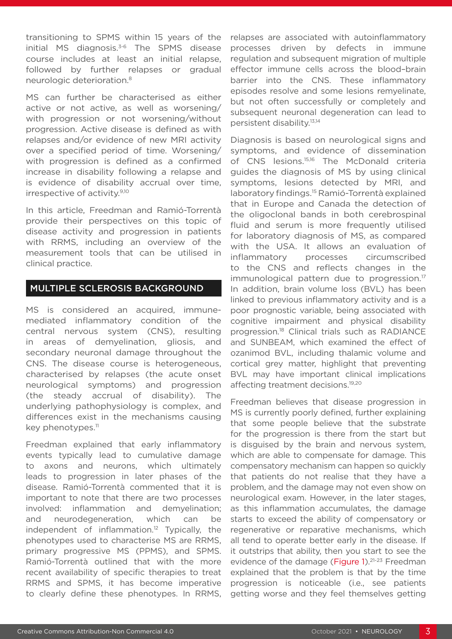transitioning to SPMS within 15 years of the initial MS diagnosis.<sup>3-6</sup> The SPMS disease course includes at least an initial relapse, followed by further relapses or gradual neurologic deterioration.8

MS can further be characterised as either active or not active, as well as worsening/ with progression or not worsening/without progression. Active disease is defined as with relapses and/or evidence of new MRI activity over a specified period of time. Worsening/ with progression is defined as a confirmed increase in disability following a relapse and is evidence of disability accrual over time, irrespective of activity.<sup>9,10</sup>

In this article, Freedman and Ramió-Torrentà provide their perspectives on this topic of disease activity and progression in patients with RRMS, including an overview of the measurement tools that can be utilised in clinical practice.

#### MULTIPLE SCLEROSIS BACKGROUND

MS is considered an acquired, immunemediated inflammatory condition of the central nervous system (CNS), resulting in areas of demyelination, gliosis, and secondary neuronal damage throughout the CNS. The disease course is heterogeneous, characterised by relapses (the acute onset neurological symptoms) and progression (the steady accrual of disability). The underlying pathophysiology is complex, and differences exist in the mechanisms causing key phenotypes.<sup>11</sup>

Freedman explained that early inflammatory events typically lead to cumulative damage to axons and neurons, which ultimately leads to progression in later phases of the disease. Ramió-Torrentà commented that it is important to note that there are two processes involved: inflammation and demyelination; and neurodegeneration, which can be independent of inflammation.<sup>12</sup> Typically, the phenotypes used to characterise MS are RRMS, primary progressive MS (PPMS), and SPMS. Ramió-Torrentà outlined that with the more recent availability of specific therapies to treat RRMS and SPMS, it has become imperative to clearly define these phenotypes. In RRMS,

relapses are associated with autoinflammatory processes driven by defects in immune regulation and subsequent migration of multiple effector immune cells across the blood–brain barrier into the CNS. These inflammatory episodes resolve and some lesions remyelinate, but not often successfully or completely and subsequent neuronal degeneration can lead to persistent disability.13,14

Diagnosis is based on neurological signs and symptoms, and evidence of dissemination of CNS lesions.15,16 The McDonald criteria guides the diagnosis of MS by using clinical symptoms, lesions detected by MRI, and laboratory findings.15 Ramió-Torrentà explained that in Europe and Canada the detection of the oligoclonal bands in both cerebrospinal fluid and serum is more frequently utilised for laboratory diagnosis of MS, as compared with the USA. It allows an evaluation of inflammatory processes circumscribed to the CNS and reflects changes in the immunological pattern due to progression.<sup>17</sup> In addition, brain volume loss (BVL) has been linked to previous inflammatory activity and is a poor prognostic variable, being associated with cognitive impairment and physical disability progression.18 Clinical trials such as RADIANCE and SUNBEAM, which examined the effect of ozanimod BVL, including thalamic volume and cortical grey matter, highlight that preventing BVL may have important clinical implications affecting treatment decisions.19,20

Freedman believes that disease progression in MS is currently poorly defined, further explaining that some people believe that the substrate for the progression is there from the start but is disguised by the brain and nervous system, which are able to compensate for damage. This compensatory mechanism can happen so quickly that patients do not realise that they have a problem, and the damage may not even show on neurological exam. However, in the later stages, as this inflammation accumulates, the damage starts to exceed the ability of compensatory or regenerative or reparative mechanisms, which all tend to operate better early in the disease. If it outstrips that ability, then you start to see the evidence of the damage (Figure 1).<sup>21-23</sup> Freedman explained that the problem is that by the time progression is noticeable (i.e., see patients getting worse and they feel themselves getting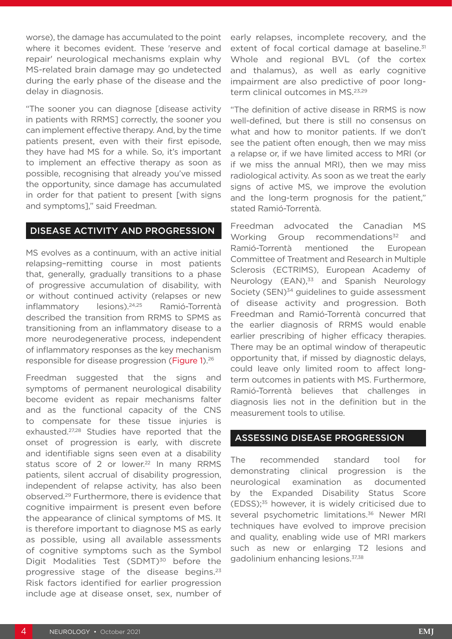worse), the damage has accumulated to the point where it becomes evident. These 'reserve and repair' neurological mechanisms explain why MS-related brain damage may go undetected during the early phase of the disease and the delay in diagnosis.

"The sooner you can diagnose [disease activity in patients with RRMS] correctly, the sooner you can implement effective therapy. And, by the time patients present, even with their first episode, they have had MS for a while. So, it's important to implement an effective therapy as soon as possible, recognising that already you've missed the opportunity, since damage has accumulated in order for that patient to present [with signs and symptoms]," said Freedman.

#### DISEASE ACTIVITY AND PROGRESSION

MS evolves as a continuum, with an active initial relapsing–remitting course in most patients that, generally, gradually transitions to a phase of progressive accumulation of disability, with or without continued activity (relapses or new inflammatory lesions).24,25 Ramió-Torrentà described the transition from RRMS to SPMS as transitioning from an inflammatory disease to a more neurodegenerative process, independent of inflammatory responses as the key mechanism responsible for disease progression (Figure 1).<sup>26</sup>

Freedman suggested that the signs and symptoms of permanent neurological disability become evident as repair mechanisms falter and as the functional capacity of the CNS to compensate for these tissue injuries is exhausted.27,28 Studies have reported that the onset of progression is early, with discrete and identifiable signs seen even at a disability status score of 2 or lower.<sup>22</sup> In many RRMS patients, silent accrual of disability progression, independent of relapse activity, has also been observed.29 Furthermore, there is evidence that cognitive impairment is present even before the appearance of clinical symptoms of MS. It is therefore important to diagnose MS as early as possible, using all available assessments of cognitive symptoms such as the Symbol Digit Modalities Test (SDMT)<sup>30</sup> before the progressive stage of the disease begins.23 Risk factors identified for earlier progression include age at disease onset, sex, number of

early relapses, incomplete recovery, and the extent of focal cortical damage at baseline.<sup>31</sup> Whole and regional BVL (of the cortex and thalamus), as well as early cognitive impairment are also predictive of poor longterm clinical outcomes in MS.<sup>23,29</sup>

"The definition of active disease in RRMS is now well-defined, but there is still no consensus on what and how to monitor patients. If we don't see the patient often enough, then we may miss a relapse or, if we have limited access to MRI (or if we miss the annual MRI), then we may miss radiological activity. As soon as we treat the early signs of active MS, we improve the evolution and the long-term prognosis for the patient," stated Ramió-Torrentà.

Freedman advocated the Canadian MS Working Group recommendations $32$  and Ramió-Torrentà mentioned the European Committee of Treatment and Research in Multiple Sclerosis (ECTRIMS), European Academy of Neurology  $(EAN)^{33}$  and Spanish Neurology Society (SEN)<sup>34</sup> guidelines to guide assessment of disease activity and progression. Both Freedman and Ramió-Torrentà concurred that the earlier diagnosis of RRMS would enable earlier prescribing of higher efficacy therapies. There may be an optimal window of therapeutic opportunity that, if missed by diagnostic delays, could leave only limited room to affect longterm outcomes in patients with MS. Furthermore, Ramió-Torrentà believes that challenges in diagnosis lies not in the definition but in the measurement tools to utilise.

#### ASSESSING DISEASE PROGRESSION

The recommended standard tool for demonstrating clinical progression is the neurological examination as documented by the Expanded Disability Status Score (EDSS);35 however, it is widely criticised due to several psychometric limitations.<sup>36</sup> Newer MRI techniques have evolved to improve precision and quality, enabling wide use of MRI markers such as new or enlarging T2 lesions and gadolinium enhancing lesions.37,38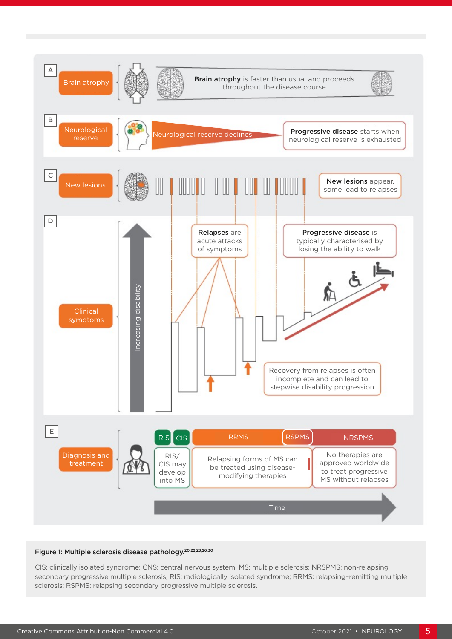

#### Figure 1: Multiple sclerosis disease pathology.20,22,23,26,30

CIS: clinically isolated syndrome; CNS: central nervous system; MS: multiple sclerosis; NRSPMS: non-relapsing secondary progressive multiple sclerosis; RIS: radiologically isolated syndrome; RRMS: relapsing–remitting multiple sclerosis; RSPMS: relapsing secondary progressive multiple sclerosis.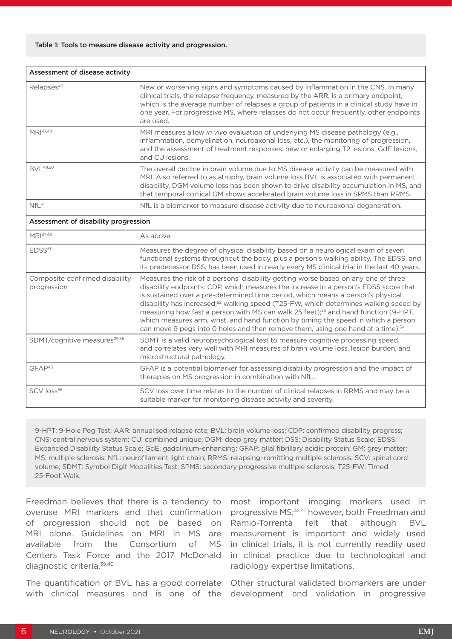| Assessment of disease activity       |                                                                                                                                                                                                                                                                                                                                                                        |  |
|--------------------------------------|------------------------------------------------------------------------------------------------------------------------------------------------------------------------------------------------------------------------------------------------------------------------------------------------------------------------------------------------------------------------|--|
| Relapses <sup>46</sup>               | New or worsening signs and symptoms caused by inflammation in the CNS. In many<br>clinical trials, the relapse frequency, measured by the ARR, is a primary endpoint,<br>which is the average number of relapses a group of patients in a clinical study have in<br>one year. For progressive MS, where relapses do not occur frequently, other endpoints<br>are used. |  |
| MRI <sup>47,48</sup>                 | MRI measures allow <i>in vivo</i> evaluation of underlying MS disease pathology (e.g.,<br>inflammation, demyelination, neuroaxonal loss, etc.), the monitoring of progression,<br>and the assessment of treatment responses: new or enlarging T2 lesions, GdE lesions,<br>and CU lesions.                                                                              |  |
| <b>BVL</b> <sup>49,50</sup>          | The overall decline in brain volume due to MS disease activity can be measured with<br>MRI. Also referred to as atrophy, brain volume loss BVL is associated with permanent<br>disability. DGM volume loss has been shown to drive disability accumulation in MS, and<br>that temporal cortical GM shows accelerated brain volume loss in SPMS than RRMS.              |  |
| $NfL^{41}$                           | NfL is a biomarker to measure disease activity due to neuroaxonal degeneration.                                                                                                                                                                                                                                                                                        |  |
| Assessment of disability progression |                                                                                                                                                                                                                                                                                                                                                                        |  |
| MRI47,48                             | As above.                                                                                                                                                                                                                                                                                                                                                              |  |
| EDSS <sup>51</sup>                   | Measures the degree of physical disability based on a neurological exam of seven<br>functional systems throughout the body, plus a person's walking ability. The EDSS, and<br>its predecessor DSS, has been used in nearly every MS clinical trial in the last 40 years.                                                                                               |  |
|                                      | <b>Allen Contracts</b><br>$\mathbf{r}$ , and the contract of the contract of the contract of the contract of the contract of the contract of the contract of the contract of the contract of the contract of the contract of the contract of the contract o                                                                                                            |  |

| Composite confirmed disability<br>progression | Measures the risk of a persons' disability getting worse based on any one of three<br>disability endpoints: CDP, which measures the increase in a person's EDSS score that<br>is sustained over a pre-determined time period, which means a person's physical<br>disability has increased; <sup>52</sup> walking speed (T25-FW, which determines walking speed by<br>measuring how fast a person with MS can walk 25 feet); <sup>53</sup> and hand function (9-HPT,<br>which measures arm, wrist, and hand function by timing the speed in which a person<br>can move 9 pegs into 0 holes and then remove them, using one hand at a time). <sup>54</sup> |
|-----------------------------------------------|----------------------------------------------------------------------------------------------------------------------------------------------------------------------------------------------------------------------------------------------------------------------------------------------------------------------------------------------------------------------------------------------------------------------------------------------------------------------------------------------------------------------------------------------------------------------------------------------------------------------------------------------------------|
| SDMT/cognitive measures <sup>29,55</sup>      | SDMT is a valid neuropsychological test to measure cognitive processing speed<br>and correlates very well with MRI measures of brain volume loss, lesion burden, and<br>microstructural pathology.                                                                                                                                                                                                                                                                                                                                                                                                                                                       |
| GFAP <sup>45</sup>                            | GFAP is a potential biomarker for assessing disability progression and the impact of<br>therapies on MS progression in combination with NfL.                                                                                                                                                                                                                                                                                                                                                                                                                                                                                                             |
| SCV loss <sup>56</sup>                        | SCV loss over time relates to the number of clinical relapses in RRMS and may be a<br>suitable marker for monitoring disease activity and severity.                                                                                                                                                                                                                                                                                                                                                                                                                                                                                                      |

9-HPT: 9-Hole Peg Test; AAR: annualised relapse rate; BVL: brain volume loss; CDP: confirmed disability progress; CNS: central nervous system; CU: combined unique; DGM: deep grey matter; DSS: Disability Status Scale; EDSS: Expanded Disability Status Scale; GdE: gadolinium-enhancing; GFAP: glial fibrillary acidic protein; GM: grey matter; MS: multiple sclerosis; NfL: neurofilament light chain; RRMS: relapsing–remitting multiple sclerosis; SCV: spinal cord volume; SDMT: Symbol Digit Modalities Test; SPMS: secondary progressive multiple sclerosis; T25-FW: Timed 25-Foot Walk.

Freedman believes that there is a tendency to most important imaging markers used in overuse MRI markers and that confirmation of progression should not be based on Ramió-Torrentà felt that although BVL MRI alone. Guidelines on MRI in MS are available from the Consortium of Centers Task Force and the 2017 McDonald diagnostic criteria.39,40

measurement is important and widely used MS in clinical trials, it is not currently readily used in clinical practice due to technological and radiology expertise limitations.

The quantification of BVL has a good correlate Other structural validated biomarkers are under with clinical measures and is one of the development and validation in progressive

progressive MS;35,41 however, both Freedman and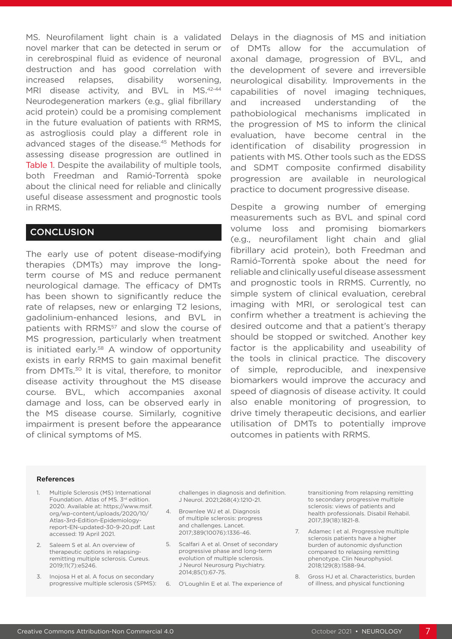MS. Neurofilament light chain is a validated novel marker that can be detected in serum or in cerebrospinal fluid as evidence of neuronal destruction and has good correlation with increased relapses, disability worsening, MRI disease activity, and BVL in MS.<sup>42-44</sup> Neurodegeneration markers (e.g., glial fibrillary acid protein) could be a promising complement in the future evaluation of patients with RRMS, as astrogliosis could play a different role in advanced stages of the disease.45 Methods for assessing disease progression are outlined in Table 1. Despite the availability of multiple tools, both Freedman and Ramió-Torrentà spoke about the clinical need for reliable and clinically useful disease assessment and prognostic tools in RRMS.

### **CONCLUSION**

The early use of potent disease-modifying therapies (DMTs) may improve the longterm course of MS and reduce permanent neurological damage. The efficacy of DMTs has been shown to significantly reduce the rate of relapses, new or enlarging T2 lesions, gadolinium-enhanced lesions, and BVL in patients with RRMS<sup>57</sup> and slow the course of MS progression, particularly when treatment is initiated early.<sup>58</sup> A window of opportunity exists in early RRMS to gain maximal benefit from DMTs.<sup>30</sup> It is vital, therefore, to monitor disease activity throughout the MS disease course. BVL, which accompanies axonal damage and loss, can be observed early in the MS disease course. Similarly, cognitive impairment is present before the appearance of clinical symptoms of MS.

Delays in the diagnosis of MS and initiation of DMTs allow for the accumulation of axonal damage, progression of BVL, and the development of severe and irreversible neurological disability. Improvements in the capabilities of novel imaging techniques, and increased understanding of the pathobiological mechanisms implicated in the progression of MS to inform the clinical evaluation, have become central in the identification of disability progression in patients with MS. Other tools such as the EDSS and SDMT composite confirmed disability progression are available in neurological practice to document progressive disease.

Despite a growing number of emerging measurements such as BVL and spinal cord volume loss and promising biomarkers (e.g., neurofilament light chain and glial fibrillary acid protein), both Freedman and Ramió-Torrentà spoke about the need for reliable and clinically useful disease assessment and prognostic tools in RRMS. Currently, no simple system of clinical evaluation, cerebral imaging with MRI, or serological test can confirm whether a treatment is achieving the desired outcome and that a patient's therapy should be stopped or switched. Another key factor is the applicability and useability of the tools in clinical practice. The discovery of simple, reproducible, and inexpensive biomarkers would improve the accuracy and speed of diagnosis of disease activity. It could also enable monitoring of progression, to drive timely therapeutic decisions, and earlier utilisation of DMTs to potentially improve outcomes in patients with RRMS.

#### References

- Multiple Sclerosis (MS) International Foundation. Atlas of MS. 3rd edition. 2020. Available at: https://www.msif. org/wp-content/uploads/2020/10/ Atlas-3rd-Edition-Epidemiologyreport-EN-updated-30-9-20.pdf. Last accessed: 19 April 2021.
- 2. Saleem S et al. An overview of therapeutic options in relapsingremitting multiple sclerosis. Cureus. 2019;11(7):e5246.
- 3. Inojosa H et al. A focus on secondary progressive multiple sclerosis (SPMS):

challenges in diagnosis and definition. J Neurol. 2021;268(4):1210-21.

- 4. Brownlee WJ et al. Diagnosis of multiple sclerosis: progress and challenges. Lancet. 2017;389(10076):1336-46.
- 5. Scalfari A et al. Onset of secondary progressive phase and long-term evolution of multiple sclerosis. J Neurol Neurosurg Psychiatry. 2014;85(1):67-75.
- 6. O'Loughlin E et al. The experience of

transitioning from relapsing remitting to secondary progressive multiple sclerosis: views of patients and health professionals. Disabil Rehabil. 2017;39(18):1821-8.

- 7. Adamec I et al. Progressive multiple sclerosis patients have a higher burden of autonomic dysfunction compared to relapsing remitting phenotype. Clin Neurophysiol. 2018;129(8):1588-94.
- 8. Gross HJ et al. Characteristics, burden of illness, and physical functioning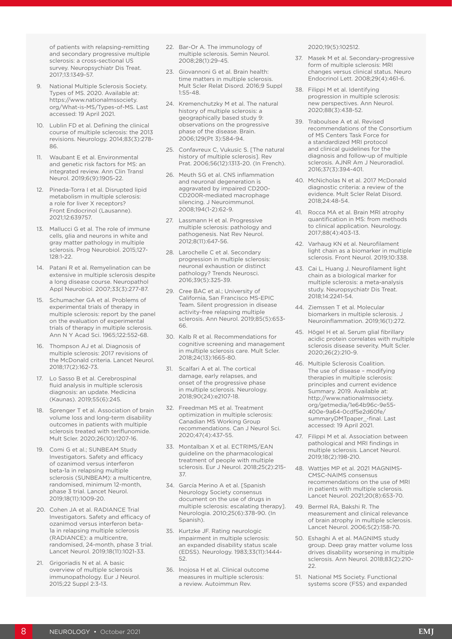of patients with relapsing-remitting and secondary progressive multiple sclerosis: a cross-sectional US survey. Neuropsychiatr Dis Treat. 2017;13:1349-57.

- 9. National Multiple Sclerosis Society. Types of MS. 2020. Available at: https://www.nationalmssociety. org/What-is-MS/Types-of-MS. Last accessed: 19 April 2021.
- 10. Lublin FD et al. Defining the clinical course of multiple sclerosis: the 2013 revisions. Neurology. 2014;83(3):278- 86.
- 11. Waubant E et al. Environmental and genetic risk factors for MS: an integrated review. Ann Clin Transl Neurol. 2019;6(9):1905-22.
- 12. Pineda-Torra I et al. Disrupted lipid metabolism in multiple sclerosis: a role for liver X receptors? Front Endocrinol (Lausanne). 2021;12:639757.
- 13. Mallucci G et al. The role of immune cells, glia and neurons in white and gray matter pathology in multiple sclerosis. Prog Neurobiol. 2015;127- 128:1-22.
- 14. Patani R et al. Remyelination can be extensive in multiple sclerosis despite a long disease course. Neuropathol Appl Neurobiol. 2007;33(3):277-87.
- 15. Schumacher GA et al. Problems of experimental trials of therapy in multiple sclerosis: report by the panel on the evaluation of experimental trials of therapy in multiple sclerosis. Ann N Y Acad Sci. 1965;122:552-68.
- 16. Thompson AJ et al. Diagnosis of multiple sclerosis: 2017 revisions of the McDonald criteria. Lancet Neurol. 2018;17(2):162-73.
- 17. Lo Sasso B et al. Cerebrospinal fluid analysis in multiple sclerosis diagnosis: an update. Medicina (Kaunas). 2019;55(6):245.
- 18. Sprenger T et al. Association of brain volume loss and long-term disability outcomes in patients with multiple sclerosis treated with teriflunomide. Mult Scler. 2020;26(10):1207-16.
- 19. Comi G et al.; SUNBEAM Study Investigators. Safety and efficacy of ozanimod versus interferon beta-1a in relapsing multiple sclerosis (SUNBEAM): a multicentre, randomised, minimum 12-month, phase 3 trial. Lancet Neurol. 2019;18(11):1009-20.
- 20. Cohen JA et al. RADIANCE Trial Investigators. Safety and efficacy of ozanimod versus interferon beta-1a in relapsing multiple sclerosis (RADIANCE): a multicentre, randomised, 24-month, phase 3 trial. Lancet Neurol. 2019;18(11):1021-33.
- 21. Grigoriadis N et al. A basic overview of multiple sclerosis immunopathology. Eur J Neurol. 2015;22 Suppl 2:3-13.
- 22. Bar-Or A. The immunology of multiple sclerosis. Semin Neurol. 2008;28(1):29-45.
- 23. Giovannoni G et al. Brain health: time matters in multiple sclerosis. Mult Scler Relat Disord. 2016;9 Suppl 1:S5-48.
- 24. Kremenchutzky M et al. The natural history of multiple sclerosis: a geographically based study 9: observations on the progressive phase of the disease. Brain. 2006;129(Pt 3):584-94.
- 25. Confavreux C, Vukusic S. [The natural history of multiple sclerosis]. Rev Prat. 2006;56(12):1313-20. (In French).
- 26. Meuth SG et al. CNS inflammation and neuronal degeneration is aggravated by impaired CD200- CD200R-mediated macrophage silencing. J Neuroimmunol. 2008;194(1-2):62-9.
- 27. Lassmann H et al. Progressive multiple sclerosis: pathology and pathogenesis. Nat Rev Neurol. 2012;8(11):647-56.
- 28. Larochelle C et al. Secondary progression in multiple sclerosis: neuronal exhaustion or distinct pathology? Trends Neurosci. 2016;39(5):325-39.
- 29. Cree BAC et al.; University of California, San Francisco MS-EPIC Team. Silent progression in disease activity-free relapsing multiple sclerosis. Ann Neurol. 2019;85(5):653- 66.
- 30. Kalb R et al. Recommendations for cognitive screening and management in multiple sclerosis care. Mult Scler. 2018;24(13):1665-80.
- 31. Scalfari A et al. The cortical damage, early relapses, and onset of the progressive phase in multiple sclerosis. Neurology. 2018;90(24):e2107-18.
- 32. Freedman MS et al. Treatment optimization in multiple sclerosis: Canadian MS Working Group recommendations. Can J Neurol Sci. 2020;47(4):437-55.
- 33. Montalban X et al. ECTRIMS/EAN guideline on the pharmacological treatment of people with multiple sclerosis. Eur J Neurol. 2018;25(2):215- 37.
- 34. García Merino A et al. [Spanish Neurology Society consensus document on the use of drugs in multiple sclerosis: escalating therapy]. Neurologia. 2010;25(6):378-90. (In Spanish).
- 35. Kurtzke JF. Rating neurologic impairment in multiple sclerosis: an expanded disability status scale (EDSS). Neurology. 1983;33(11):1444- 52.
- 36. Inojosa H et al. Clinical outcome measures in multiple sclerosis: a review. Autoimmun Rev.

2020;19(5):102512.

- 37. Masek M et al. Secondary-progressive form of multiple sclerosis: MRI changes versus clinical status. Neuro Endocrinol Lett. 2008;29(4):461-6.
- 38. Filippi M et al. Identifying progression in multiple sclerosis: new perspectives. Ann Neurol. 2020;88(3):438-52.
- 39. Traboulsee A et al. Revised recommendations of the Consortium of MS Centers Task Force for a standardized MRI protocol and clinical guidelines for the diagnosis and follow-up of multiple sclerosis. AJNR Am J Neuroradiol. 2016;37(3):394-401.
- 40. McNicholas N et al. 2017 McDonald diagnostic criteria: a review of the evidence. Mult Scler Relat Disord. 2018;24:48-54.
- 41. Rocca MA et al. Brain MRI atrophy quantification in MS: from methods to clinical application. Neurology. 2017;88(4):403-13.
- 42. Varhaug KN et al. Neurofilament light chain as a biomarker in multiple sclerosis. Front Neurol. 2019;10:338.
- 43. Cai L, Huang J. Neurofilament light chain as a biological marker for multiple sclerosis: a meta-analysis study. Neuropsychiatr Dis Treat. 2018;14:2241-54.
- 44. Ziemssen T et al. Molecular biomarkers in multiple sclerosis. J Neuroinflammation. 2019;16(1):272.
- 45. Högel H et al. Serum glial fibrillary acidic protein correlates with multiple sclerosis disease severity. Mult Scler. 2020;26(2):210-9.
- 46. Multiple Sclerosis Coalition. The use of disease – modifying therapies in multiple sclerosis: principles and current evidence Summary. 2019. Available at: http://www.nationalmssociety. org/getmedia/1e64b96c-9e55- 400e-9a64-0cdf5e2d60fe/ summaryDMTpaper\_-final. Last accessed: 19 April 2021.
- 47. Filippi M et al. Association between pathological and MRI findings in multiple sclerosis. Lancet Neurol. 2019;18(2):198-210.
- 48. Wattjes MP et al. 2021 MAGNIMS-CMSC-NAIMS consensus recommendations on the use of MRI in patients with multiple sclerosis. Lancet Neurol. 2021;20(8):653-70.
- 49. Bermel RA, Bakshi R. The measurement and clinical relevance of brain atrophy in multiple sclerosis. Lancet Neurol. 2006;5(2):158-70.
- 50. Eshaghi A et al. MAGNIMS study group. Deep gray matter volume loss drives disability worsening in multiple sclerosis. Ann Neurol. 2018;83(2):210- 22.
- 51. National MS Society. Functional systems score (FSS) and expanded